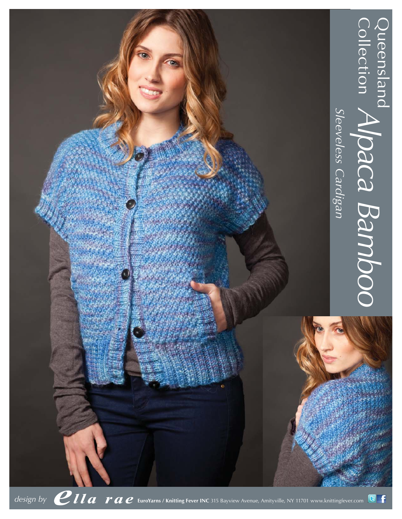